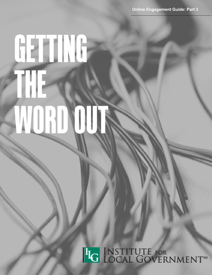# **GETTING THE WORD OUT**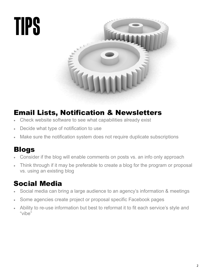

### Email Lists, Notification & Newsletters

- Check website software to see what capabilities already exist
- Decide what type of notification to use
- Make sure the notification system does not require duplicate subscriptions

### Blogs

- Consider if the blog will enable comments on posts vs. an info only approach
- Think through if it may be preferable to create a blog for the program or proposal vs. using an existing blog

### Social Media

- Social media can bring a large audience to an agency's information & meetings
- Some agencies create project or proposal specific Facebook pages
- Ability to re-use information but best to reformat it to fit each service's style and "vibe"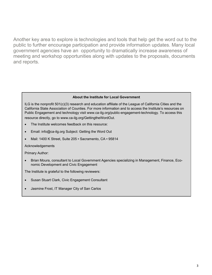Another key area to explore is technologies and tools that help get the word out to the public to further encourage participation and provide information updates. Many local government agencies have an opportunity to dramatically increase awareness of meeting and workshop opportunities along with updates to the proposals, documents and reports.

#### **About the Institute for Local Government**

ILG is the nonprofit 501(c)(3) research and education affiliate of the League of California Cities and the California State Association of Counties. For more information and to access the Institute's resources on Public Engagement and technology visit www.ca-ilg.org/public-engagement-technology. To access this

resource directly, go to www.ca-ilg.org/GettingtheWordOut.

- The Institute welcomes feedback on this resource:
- Email: info@ca-ilg.org Subject: Getting the Word Out
- Mail: 1400 K Street, Suite 205 Sacramento, CA 95814

Acknowledgements

Primary Author:

 Brian Moura, consultant to Local Government Agencies specializing in Management, Finance, Economic Development and Civic Engagement

The Institute is grateful to the following reviewers:

- Susan Stuart Clark, Civic Engagement Consultant
- Jasmine Frost, IT Manager City of San Carlos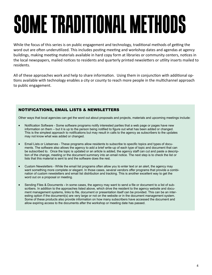# **SOME TRADITIONAL METHODS**

While the focus of this series is on public engagement and technology, traditional methods of getting the word out are often underutilized. This includes posting meeting and workshop dates and agendas at agency buildings, making meeting materials available in hard copy form at libraries or community centers, notices in the local newspapers, mailed notices to residents and quarterly printed newsletters or utility inserts mailed to residents.

All of these approaches work and help to share information. Using them in conjunction with additional options available with technology enables a city or county to reach more people in the multichannel approach to public engagement.

#### NOTIFICATIONS, EMAIL LISTS & NEWSLETTERS

Other ways that local agencies can get the word out about proposals and projects, materials and upcoming meetings include:

- Notification Software Some software programs notify interested parties that a web page or pages have new information on them – but it is up to the person being notified to figure out what has been added or changed. This is the simplest approach to notifications but may result in calls to the agency as subscribers to the updates may not know what was added or changed.
- Email Lists or Listserves These programs allow residents to subscribe to specific topics and types of documents. The software also allows the agency to add a brief write-up of each type of topic and document that can be subscribed to. Once the topic is updated or an article is added, the agency staff can cut and paste a description of the change, meeting or the document summary into an email notice. The next step is to check the list or lists that this material is sent to and the software does the rest.
- Custom Newsletters While the email list programs often allow you to enter text or an alert, the agency may want something more complete or elegant. In those cases, several vendors offer programs that provide a combination of custom newsletters and email list distribution and tracking. This is another excellent way to get the word out on a proposal or meeting.
- Sending Files & Documents **-** In some cases, the agency may want to send a file or document to a list of subscribers. In addition to the approaches listed above, which drive the resident to the agency website and document management systems, links to file, document or presentation itself can be provided. This can be an interesting option if the document(s) are very large or not on the website or in the document management system. Some of these products also provide information on how many subscribers have accessed the document and allow expiring access to the documents after the workshop or meeting date has passed.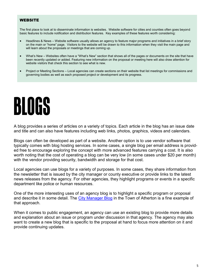#### WEBSITE

The first place to look at to disseminate information is websites. Website software for cities and counties often goes beyond basic features to include notification and distribution features. Key examples of these features worth considering:

- Headlines & News Website software usually allows an agency to feature major programs and initiatives in a brief story on the main or "home" page. Visitors to the website will be drawn to this information when they visit the main page and will learn about the proposals or meetings that are coming up.
- What's New Websites often have a "What's New" section that shows all of the pages or documents on the site that have been recently updated or added. Featuring new information on the proposal or meeting here will also draw attention for website visitors that check this section to see what is new.
- Project or Meeting Sections Local agencies can create sections on their website that list meetings for commissions and governing bodies as well as each proposed project or development and its progress.

### **BLOGS**

A blog provides a series of articles on a variety of topics. Each article in the blog has an issue date and title and can also have features including web links, photos, graphics, videos and calendars.

Blogs can often be developed as part of a website. Another option is to use vendor software that typically comes with blog hosting services. In some cases, a single blog per email address is provided free to encourage exploring the concept with more advanced features carrying a cost. It is also worth noting that the cost of operating a blog can be very low (in some cases under \$20 per month) with the vendor providing security, bandwidth and storage for that cost.

Local agencies can use blogs for a variety of purposes. In some cases, they share information from the newsletter that is issued by the city manager or county executive or provide links to the latest news releases from the agency. For other agencies, they highlight programs or events in a specific department like police or human resources.

One of the more interesting uses of an agency blog is to highlight a specific program or proposal and describe it in some detail. The [City Manager Blog](http://www.ci.atherton.ca.us/Blog.aspx?CID=1) in the Town of Atherton is a fine example of that approach.

When it comes to public engagement, an agency can use an existing blog to provide more details and explanation about an issue or program under discussion in that agency. The agency may also want to create a new blog that is specific to the proposal at hand to focus more attention on it and provide continuing updates.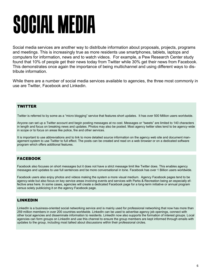## **SOCIAL MEDIA**

Social media services are another way to distribute information about proposals, projects, programs and meetings. This is increasingly true as more residents use smartphones, tablets, laptops and computers for information, news and to watch videos. For example, a Pew Research Center study found that 10% of people get their news today from Twitter while 30% get their news from Facebook. This demonstrates once again the importance of being multichannel and using different ways to distribute information.

While there are a number of social media services available to agencies, the three most commonly in use are Twitter, Facebook and Linkedin.

#### **TWITTER**

Twitter is referred to by some as a "micro blogging" service that features short updates. It has over 500 Million users worldwide.

Anyone can set up a Twitter account and begin posting messages at no cost. Messages or "tweets" are limited to 140 characters in length and focus on breaking news and updates. Photos may also be posted. Most agency twitter sites tend to be agency-wide in scope or to focus on areas like police, fire and other services.

It is important to use abbreviations and to link to more detailed source information on the agency web site and document management system to use Twitter to full effect. The posts can be created and read on a web browser or on a dedicated software program which offers additional features.

#### FACEBOOK

Facebook also focuses on short messages but it does not have a strict message limit like Twitter does. This enables agency messages and updates to use full sentences and be more conversational in tone. Facebook has over 1 Billion users worldwide.

Facebook users also enjoy photos and videos making the system a more visual medium. Agency Facebook pages tend to be agency-wide but also focus on key service areas involving events and services with Parks & Recreation being an especially effective area here. In some cases, agencies will create a dedicated Facebook page for a long-term initiative or annual program versus solely publicizing it on the agency Facebook page.

#### LINKEDIN

LinkedIn is a business-oriented social networking service and is mainly used for professional networking that now has more than 259 million members in over 200 countries worldwide. LinkedIn can be used to advertise agency job openings, connect with other local agencies and disseminate information to residents. LinkedIn now also supports the formation of interest groups. Local agencies can form groups on LinkedIn and use this channel to ensure the group members are kept informed through emails with updates to the group, including most talked about discussions within their professional circles.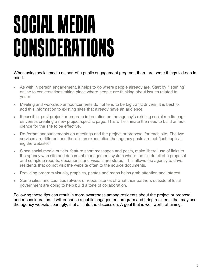### **SOCIAL MEDIA CONSIDERATIONS**

When using social media as part of a public engagement program, there are some things to keep in mind:

- As with in person engagement, it helps to go where people already are. Start by "listening" online to conversations taking place where people are thinking about issues related to yours.
- Meeting and workshop announcements do not tend to be big traffic drivers. It is best to add this information to existing sites that already have an audience.
- If possible, post project or program information on the agency's existing social media pages versus creating a new project-specific page. This will eliminate the need to build an audience for the site to be effective.
- Re-format announcements on meetings and the project or proposal for each site. The two services are different and there is an expectation that agency posts are not "just duplicating the website."
- Since social media outlets feature short messages and posts, make liberal use of links to the agency web site and document management system where the full detail of a proposal and complete reports, documents and visuals are stored. This allows the agency to drive residents that do not visit the website often to the source documents.
- Providing program visuals, graphics, photos and maps helps grab attention and interest.
- Some cities and counties retweet or repost stories of what their partners outside of local government are doing to help build a tone of collaboration.

Following these tips can result in more awareness among residents about the project or proposal under consideration. It will enhance a public engagement program and bring residents that may use the agency website sparingly, if at all, into the discussion. A goal that is well worth attaining.